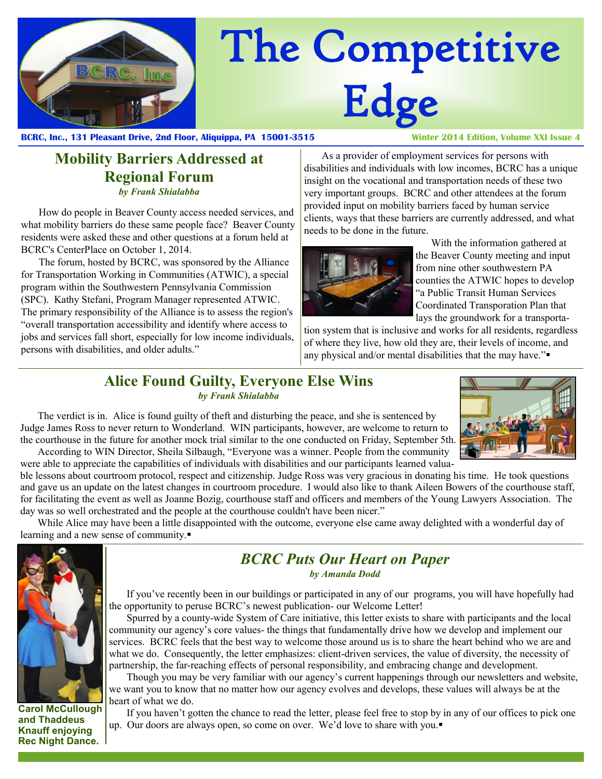

# The Competitive Edge

**BCRC, Inc., 131 Pleasant Drive, 2nd Floor, Aliquippa, PA 15001-3515 Winter 2014 Edition, Volume XXI Issue 4**

#### **Mobility Barriers Addressed at Regional Forum** *by Frank Shialabba*

How do people in Beaver County access needed services, and what mobility barriers do these same people face? Beaver County residents were asked these and other questions at a forum held at BCRC's CenterPlace on October 1, 2014.

The forum, hosted by BCRC, was sponsored by the Alliance for Transportation Working in Communities (ATWIC), a special program within the Southwestern Pennsylvania Commission (SPC). Kathy Stefani, Program Manager represented ATWIC. The primary responsibility of the Alliance is to assess the region's "overall transportation accessibility and identify where access to jobs and services fall short, especially for low income individuals, persons with disabilities, and older adults."

As a provider of employment services for persons with disabilities and individuals with low incomes, BCRC has a unique insight on the vocational and transportation needs of these two very important groups. BCRC and other attendees at the forum provided input on mobility barriers faced by human service clients, ways that these barriers are currently addressed, and what needs to be done in the future.



 With the information gathered at the Beaver County meeting and input from nine other southwestern PA counties the ATWIC hopes to develop "a Public Transit Human Services Coordinated Transporation Plan that lays the groundwork for a transporta-

tion system that is inclusive and works for all residents, regardless of where they live, how old they are, their levels of income, and any physical and/or mental disabilities that the may have."

#### **Alice Found Guilty, Everyone Else Wins** *by Frank Shialabba*

The verdict is in. Alice is found guilty of theft and disturbing the peace, and she is sentenced by Judge James Ross to never return to Wonderland. WIN participants, however, are welcome to return to the courthouse in the future for another mock trial similar to the one conducted on Friday, September 5th. According to WIN Director, Sheila Silbaugh, "Everyone was a winner. People from the community were able to appreciate the capabilities of individuals with disabilities and our participants learned valua-



ble lessons about courtroom protocol, respect and citizenship. Judge Ross was very gracious in donating his time. He took questions and gave us an update on the latest changes in courtroom procedure. I would also like to thank Aileen Bowers of the courthouse staff, for facilitating the event as well as Joanne Bozig, courthouse staff and officers and members of the Young Lawyers Association. The day was so well orchestrated and the people at the courthouse couldn't have been nicer."

While Alice may have been a little disappointed with the outcome, everyone else came away delighted with a wonderful day of learning and a new sense of community.



#### **Carol McCullough and Thaddeus Knauff enjoying Rec Night Dance.**

#### *BCRC Puts Our Heart on Paper by Amanda Dodd*

If you've recently been in our buildings or participated in any of our programs, you will have hopefully had the opportunity to peruse BCRC's newest publication- our Welcome Letter!

Spurred by a county-wide System of Care initiative, this letter exists to share with participants and the local community our agency's core values- the things that fundamentally drive how we develop and implement our services. BCRC feels that the best way to welcome those around us is to share the heart behind who we are and what we do. Consequently, the letter emphasizes: client-driven services, the value of diversity, the necessity of partnership, the far-reaching effects of personal responsibility, and embracing change and development.

Though you may be very familiar with our agency's current happenings through our newsletters and website, we want you to know that no matter how our agency evolves and develops, these values will always be at the heart of what we do.

If you haven't gotten the chance to read the letter, please feel free to stop by in any of our offices to pick one up. Our doors are always open, so come on over. We'd love to share with you.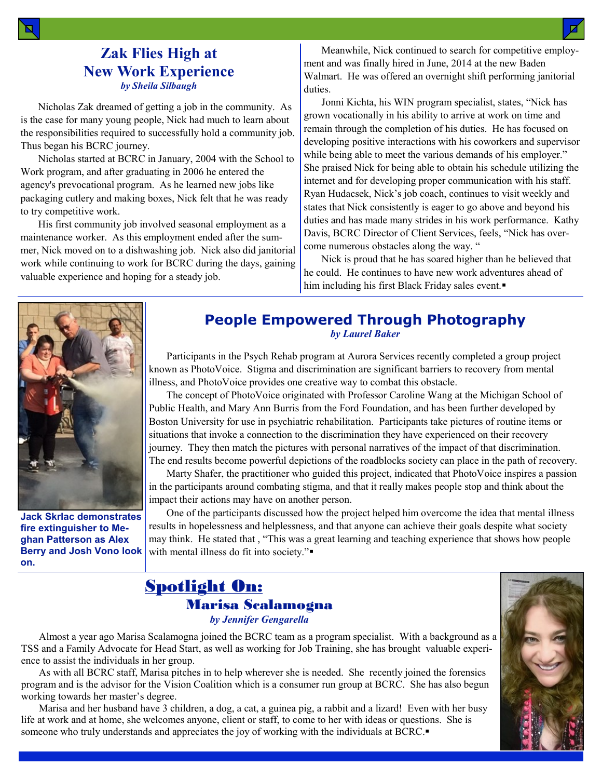### **Zak Flies High at New Work Experience** *by Sheila Silbaugh*

Nicholas Zak dreamed of getting a job in the community. As is the case for many young people, Nick had much to learn about the responsibilities required to successfully hold a community job. Thus began his BCRC journey.

Nicholas started at BCRC in January, 2004 with the School to Work program, and after graduating in 2006 he entered the agency's prevocational program. As he learned new jobs like packaging cutlery and making boxes, Nick felt that he was ready to try competitive work.

His first community job involved seasonal employment as a maintenance worker. As this employment ended after the summer, Nick moved on to a dishwashing job. Nick also did janitorial work while continuing to work for BCRC during the days, gaining valuable experience and hoping for a steady job.

Meanwhile, Nick continued to search for competitive employment and was finally hired in June, 2014 at the new Baden Walmart. He was offered an overnight shift performing janitorial duties.

Jonni Kichta, his WIN program specialist, states, "Nick has grown vocationally in his ability to arrive at work on time and remain through the completion of his duties. He has focused on developing positive interactions with his coworkers and supervisor while being able to meet the various demands of his employer." She praised Nick for being able to obtain his schedule utilizing the internet and for developing proper communication with his staff. Ryan Hudacsek, Nick's job coach, continues to visit weekly and states that Nick consistently is eager to go above and beyond his duties and has made many strides in his work performance. Kathy Davis, BCRC Director of Client Services, feels, "Nick has overcome numerous obstacles along the way. "

Nick is proud that he has soared higher than he believed that he could. He continues to have new work adventures ahead of him including his first Black Friday sales event.



**Jack Skrlac demonstrates fire extinguisher to Meghan Patterson as Alex Berry and Josh Vono look on.**

#### **People Empowered Through Photography** *by Laurel Baker*

Participants in the Psych Rehab program at Aurora Services recently completed a group project known as PhotoVoice. Stigma and discrimination are significant barriers to recovery from mental illness, and PhotoVoice provides one creative way to combat this obstacle.

The concept of PhotoVoice originated with Professor Caroline Wang at the Michigan School of Public Health, and Mary Ann Burris from the Ford Foundation, and has been further developed by Boston University for use in psychiatric rehabilitation. Participants take pictures of routine items or situations that invoke a connection to the discrimination they have experienced on their recovery journey. They then match the pictures with personal narratives of the impact of that discrimination. The end results become powerful depictions of the roadblocks society can place in the path of recovery.

Marty Shafer, the practitioner who guided this project, indicated that PhotoVoice inspires a passion in the participants around combating stigma, and that it really makes people stop and think about the impact their actions may have on another person.

One of the participants discussed how the project helped him overcome the idea that mental illness results in hopelessness and helplessness, and that anyone can achieve their goals despite what society may think. He stated that , "This was a great learning and teaching experience that shows how people with mental illness do fit into society."

### Spotlight On: Marisa Scalamogna *by Jennifer Gengarella*

Almost a year ago Marisa Scalamogna joined the BCRC team as a program specialist. With a background as a TSS and a Family Advocate for Head Start, as well as working for Job Training, she has brought valuable experience to assist the individuals in her group.

As with all BCRC staff, Marisa pitches in to help wherever she is needed. She recently joined the forensics program and is the advisor for the Vision Coalition which is a consumer run group at BCRC. She has also begun working towards her master's degree.

Marisa and her husband have 3 children, a dog, a cat, a guinea pig, a rabbit and a lizard! Even with her busy life at work and at home, she welcomes anyone, client or staff, to come to her with ideas or questions. She is someone who truly understands and appreciates the joy of working with the individuals at BCRC.

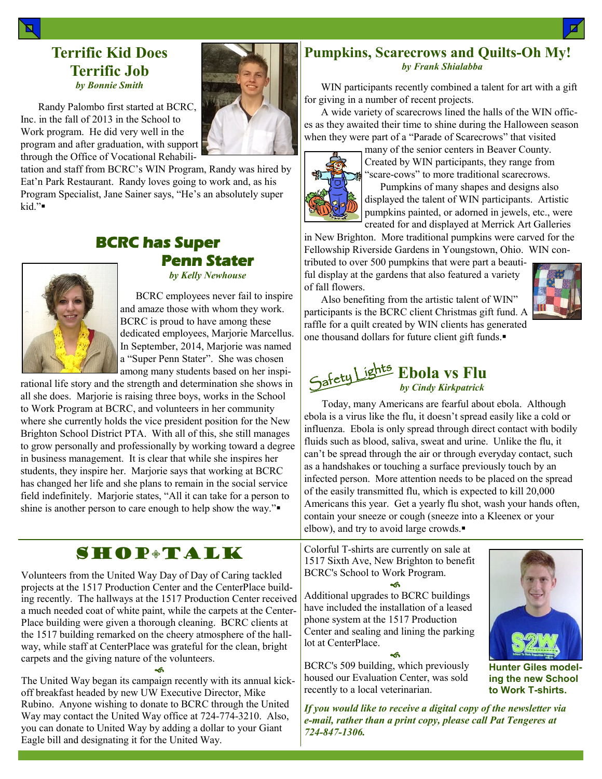#### **Terrific Kid Does Terrific Job** *by Bonnie Smith*

Randy Palombo first started at BCRC, Inc. in the fall of 2013 in the School to Work program. He did very well in the program and after graduation, with support through the Office of Vocational Rehabili-

tation and staff from BCRC's WIN Program, Randy was hired by Eat'n Park Restaurant. Randy loves going to work and, as his Program Specialist, Jane Sainer says, "He's an absolutely super kid."



# **BCRC has Super Penn Stater**

*by Kelly Newhouse*

 BCRC employees never fail to inspire and amaze those with whom they work. BCRC is proud to have among these dedicated employees, Marjorie Marcellus. In September, 2014, Marjorie was named a "Super Penn Stater". She was chosen among many students based on her inspi-

rational life story and the strength and determination she shows in all she does. Marjorie is raising three boys, works in the School to Work Program at BCRC, and volunteers in her community where she currently holds the vice president position for the New Brighton School District PTA. With all of this, she still manages to grow personally and professionally by working toward a degree in business management. It is clear that while she inspires her students, they inspire her. Marjorie says that working at BCRC has changed her life and she plans to remain in the social service field indefinitely. Marjorie states, "All it can take for a person to shine is another person to care enough to help show the way."

# SHOP**\*TALK**

Volunteers from the United Way Day of Day of Caring tackled projects at the 1517 Production Center and the CenterPlace building recently. The hallways at the 1517 Production Center received a much needed coat of white paint, while the carpets at the Center-Place building were given a thorough cleaning. BCRC clients at the 1517 building remarked on the cheery atmosphere of the hallway, while staff at CenterPlace was grateful for the clean, bright carpets and the giving nature of the volunteers.

۰ĥ The United Way began its campaign recently with its annual kickoff breakfast headed by new UW Executive Director, Mike Rubino. Anyone wishing to donate to BCRC through the United Way may contact the United Way office at 724-774-3210. Also, you can donate to United Way by adding a dollar to your Giant Eagle bill and designating it for the United Way.

#### **Pumpkins, Scarecrows and Quilts-Oh My!** *by Frank Shialabba*

WIN participants recently combined a talent for art with a gift for giving in a number of recent projects.

A wide variety of scarecrows lined the halls of the WIN offices as they awaited their time to shine during the Halloween season when they were part of a "Parade of Scarecrows" that visited



many of the senior centers in Beaver County. Created by WIN participants, they range from "scare-cows" to more traditional scarecrows.

 Pumpkins of many shapes and designs also displayed the talent of WIN participants. Artistic pumpkins painted, or adorned in jewels, etc., were created for and displayed at Merrick Art Galleries

in New Brighton. More traditional pumpkins were carved for the Fellowship Riverside Gardens in Youngstown, Ohio. WIN con-

tributed to over 500 pumpkins that were part a beautiful display at the gardens that also featured a variety of fall flowers.

Also benefiting from the artistic talent of WIN" participants is the BCRC client Christmas gift fund. A raffle for a quilt created by WIN clients has generated one thousand dollars for future client gift funds.



Today, many Americans are fearful about ebola. Although ebola is a virus like the flu, it doesn't spread easily like a cold or influenza. Ebola is only spread through direct contact with bodily fluids such as blood, saliva, sweat and urine. Unlike the flu, it can't be spread through the air or through everyday contact, such as a handshakes or touching a surface previously touch by an infected person. More attention needs to be placed on the spread of the easily transmitted flu, which is expected to kill 20,000 Americans this year. Get a yearly flu shot, wash your hands often, contain your sneeze or cough (sneeze into a Kleenex or your elbow), and try to avoid large crowds.

Colorful T-shirts are currently on sale at 1517 Sixth Ave, New Brighton to benefit BCRC's School to Work Program.

କ Additional upgrades to BCRC buildings have included the installation of a leased phone system at the 1517 Production Center and sealing and lining the parking lot at CenterPlace.

۰ĥ BCRC's 509 building, which previously housed our Evaluation Center, was sold recently to a local veterinarian.

*If you would like to receive a digital copy of the newsletter via e-mail, rather than a print copy, please call Pat Tengeres at 724-847-1306.*



**Hunter Giles modeling the new School to Work T-shirts.**